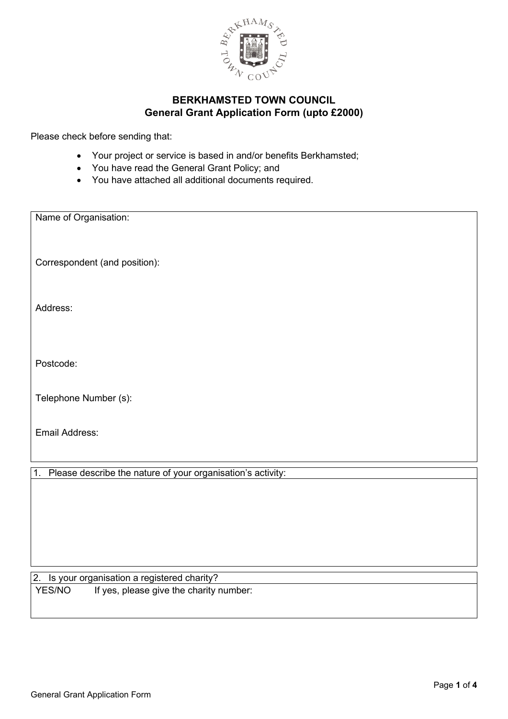

Please check before sending that:

- Your project or service is based in and/or benefits Berkhamsted;
- You have read the General Grant Policy; and
- You have attached all additional documents required.

| Name of Organisation:                                             |
|-------------------------------------------------------------------|
| Correspondent (and position):                                     |
| Address:                                                          |
|                                                                   |
| Postcode:                                                         |
| Telephone Number (s):                                             |
| Email Address:                                                    |
| Please describe the nature of your organisation's activity:<br>1. |
|                                                                   |
|                                                                   |

#### 2. Is your organisation a registered charity? YES/NO If yes, please give the charity number: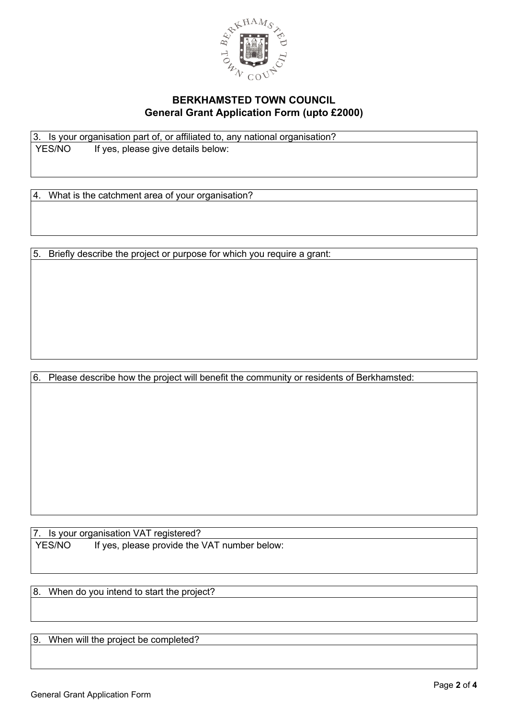

3. Is your organisation part of, or affiliated to, any national organisation? YES/NO If yes, please give details below:

4. What is the catchment area of your organisation?

5. Briefly describe the project or purpose for which you require a grant:

6. Please describe how the project will benefit the community or residents of Berkhamsted:

7. Is your organisation VAT registered? YES/NO If yes, please provide the VAT number below:

8. When do you intend to start the project?

9. When will the project be completed?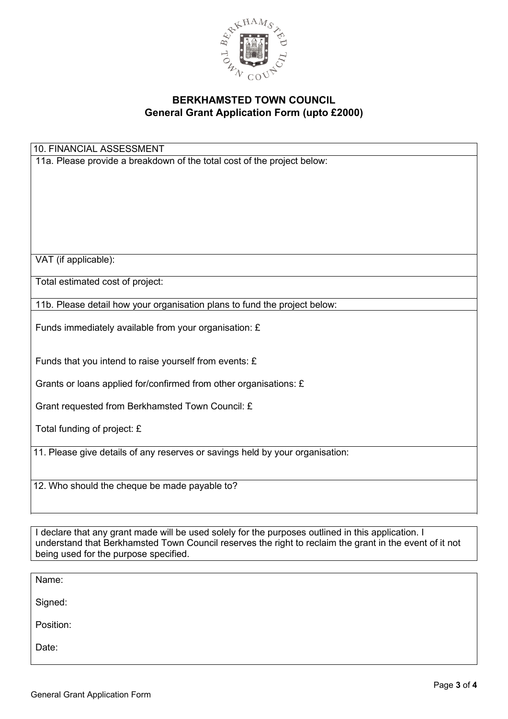

10. FINANCIAL ASSESSMENT 11a. Please provide a breakdown of the total cost of the project below:

VAT (if applicable):

Total estimated cost of project:

11b. Please detail how your organisation plans to fund the project below:

Funds immediately available from your organisation: £

Funds that you intend to raise yourself from events: £

Grants or loans applied for/confirmed from other organisations: £

Grant requested from Berkhamsted Town Council: £

Total funding of project: £

11. Please give details of any reserves or savings held by your organisation:

12. Who should the cheque be made payable to?

I declare that any grant made will be used solely for the purposes outlined in this application. I understand that Berkhamsted Town Council reserves the right to reclaim the grant in the event of it not being used for the purpose specified.

Name:

Signed:

Position:

Date: